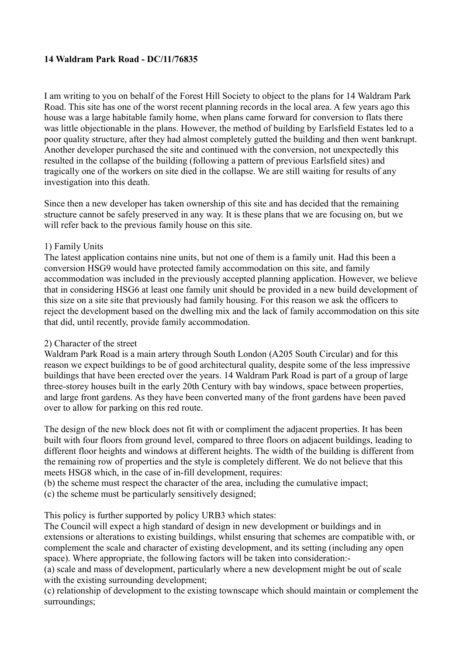## **14 Waldram Park Road - DC/11/76835**

I am writing to you on behalf of the Forest Hill Society to object to the plans for 14 Waldram Park Road. This site has one of the worst recent planning records in the local area. A few years ago this house was a large habitable family home, when plans came forward for conversion to flats there was little objectionable in the plans. However, the method of building by Earlsfield Estates led to a poor quality structure, after they had almost completely gutted the building and then went bankrupt. Another developer purchased the site and continued with the conversion, not unexpectedly this resulted in the collapse of the building (following a pattern of previous Earlsfield sites) and tragically one of the workers on site died in the collapse. We are still waiting for results of any investigation into this death.

Since then a new developer has taken ownership of this site and has decided that the remaining structure cannot be safely preserved in any way. It is these plans that we are focusing on, but we will refer back to the previous family house on this site.

## 1) Family Units

The latest application contains nine units, but not one of them is a family unit. Had this been a conversion HSG9 would have protected family accommodation on this site, and family accommodation was included in the previously accepted planning application. However, we believe that in considering HSG6 at least one family unit should be provided in a new build development of this size on a site site that previously had family housing. For this reason we ask the officers to reject the development based on the dwelling mix and the lack of family accommodation on this site that did, until recently, provide family accommodation.

## 2) Character of the street

Waldram Park Road is a main artery through South London (A205 South Circular) and for this reason we expect buildings to be of good architectural quality, despite some of the less impressive buildings that have been erected over the years. 14 Waldram Park Road is part of a group of large three-storey houses built in the early 20th Century with bay windows, space between properties, and large front gardens. As they have been converted many of the front gardens have been paved over to allow for parking on this red route.

The design of the new block does not fit with or compliment the adjacent properties. It has been built with four floors from ground level, compared to three floors on adjacent buildings, leading to different floor heights and windows at different heights. The width of the building is different from the remaining row of properties and the style is completely different. We do not believe that this meets HSG8 which, in the case of in-fill development, requires:

(b) the scheme must respect the character of the area, including the cumulative impact;

(c) the scheme must be particularly sensitively designed;

This policy is further supported by policy URB3 which states:

The Council will expect a high standard of design in new development or buildings and in extensions or alterations to existing buildings, whilst ensuring that schemes are compatible with, or complement the scale and character of existing development, and its setting (including any open space). Where appropriate, the following factors will be taken into consideration:-

(a) scale and mass of development, particularly where a new development might be out of scale with the existing surrounding development;

(c) relationship of development to the existing townscape which should maintain or complement the surroundings;